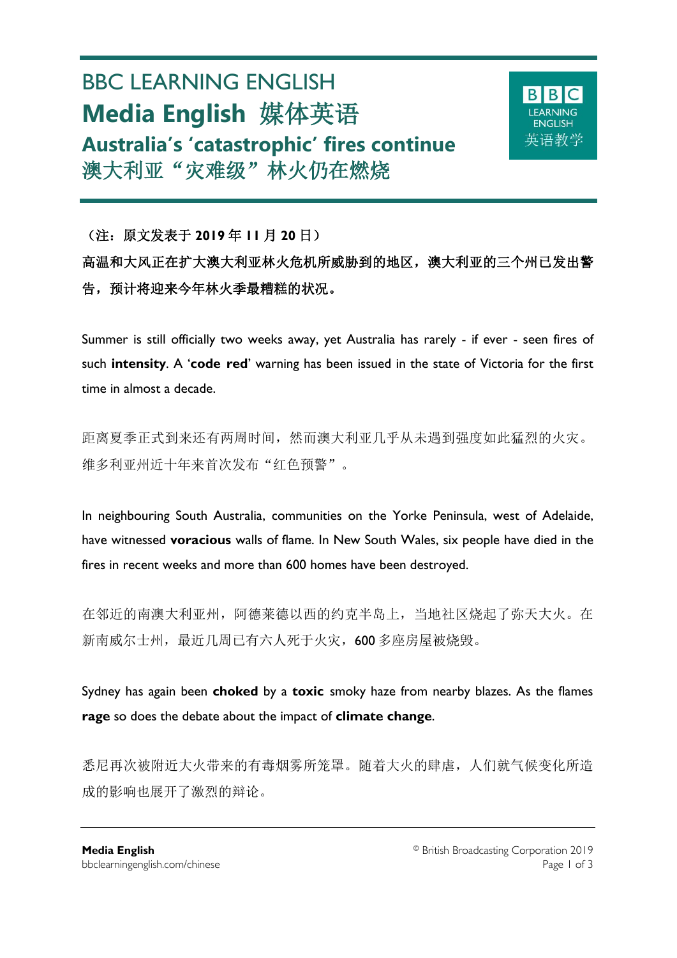# BBC LEARNING ENGLISH **Media English** 媒体英语 **Australia's 'catastrophic' fires continue** 澳大利亚"灾难级"林火仍在燃烧



## (注:原文发表于 **2019** 年 **11** 月 **20** 日) 高温和大风正在扩大澳大利亚林火危机所威胁到的地区,澳大利亚的三个州已发出警 告,预计将迎来今年林火季最糟糕的状况。

Summer is still officially two weeks away, yet Australia has rarely - if ever - seen fires of such **intensity**. A '**code red**' warning has been issued in the state of Victoria for the first time in almost a decade.

距离夏季正式到来还有两周时间,然而澳大利亚几乎从未遇到强度如此猛烈的火灾。 维多利亚州近十年来首次发布"红色预警"。

In neighbouring South Australia, communities on the Yorke Peninsula, west of Adelaide, have witnessed **voracious** walls of flame. In New South Wales, six people have died in the fires in recent weeks and more than 600 homes have been destroyed.

在邻近的南澳大利亚州,阿德莱德以西的约克半岛上,当地社区烧起了弥天大火。在 新南威尔士州,最近几周已有六人死于火灾,600多座房屋被烧毁。

Sydney has again been **choked** by a **toxic** smoky haze from nearby blazes. As the flames **rage** so does the debate about the impact of **climate change**.

悉尼再次被附近大火带来的有毒烟雾所笼罩。随着大火的肆虐,人们就气候变化所造 成的影响也展开了激烈的辩论。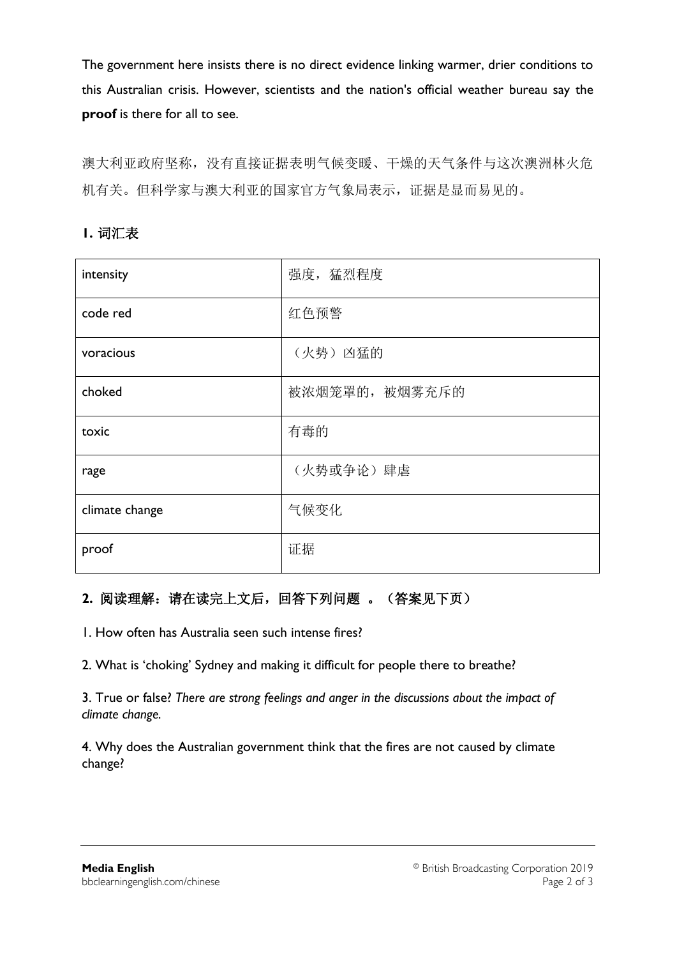The government here insists there is no direct evidence linking warmer, drier conditions to this Australian crisis. However, scientists and the nation's official weather bureau say the **proof** is there for all to see.

澳大利亚政府坚称,没有直接证据表明气候变暖、干燥的天气条件与这次澳洲林火危 机有关。但科学家与澳大利亚的国家官方气象局表示,证据是显而易见的。

| intensity      | 强度,猛烈程度       |
|----------------|---------------|
| code red       | 红色预警          |
| voracious      | (火势) 凶猛的      |
| choked         | 被浓烟笼罩的,被烟雾充斥的 |
| toxic          | 有毒的           |
| rage           | (火势或争论) 肆虐    |
| climate change | 气候变化          |
| proof          | 证据            |

## **1.** 词汇表

## **2.** 阅读理解:请在读完上文后,回答下列问题 。(答案见下页)

1. How often has Australia seen such intense fires?

2. What is 'choking' Sydney and making it difficult for people there to breathe?

3. True or false? *There are strong feelings and anger in the discussions about the impact of climate change.*

4. Why does the Australian government think that the fires are not caused by climate change?